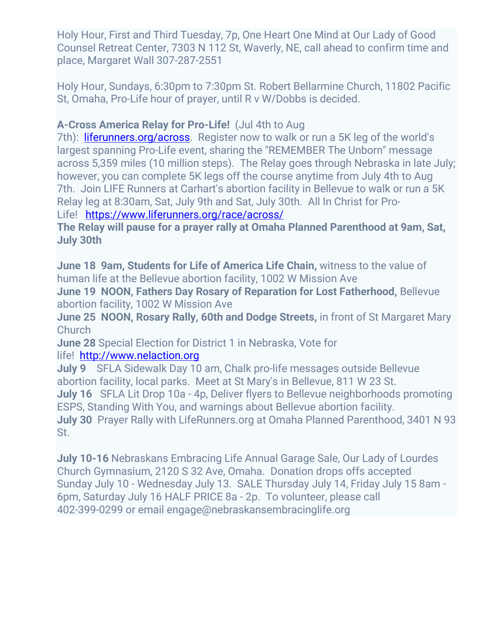Holy Hour, First and Third Tuesday, 7p, One Heart One Mind at Our Lady of Good Counsel Retreat Center, 7303 N 112 St, Waverly, NE, call ahead to confirm time and place, Margaret Wall 307-287-2551

Holy Hour, Sundays, 6:30pm to 7:30pm St. Robert Bellarmine Church, 11802 Pacific St, Omaha, Pro-Life hour of prayer, until R v W/Dobbs is decided.

### **A-Cross America Relay for Pro-Life!** (Jul 4th to Aug

7th): [liferunners.org/across.](https://urldefense.proofpoint.com/v2/url?u=http-3A__liferunners.org_across&d=DwMFaQ&c=euGZstcaTDllvimEN8b7jXrwqOf-v5A_CdpgnVfiiMM&r=NfdU5c4MeD0ivb8-AVEkBDbAS3Fwl3d85QJAfSFRqSYlGScSV9XG0FTReVUMT2N9&m=TzzmPcSQBj0MzGcGv0Hp1POP6QeJ3_MwlmzYov_yQUU&s=5w4d2U22hHnz0MDO3B52mL7mFTXlvR6JgjgNEV5Ee2g&e=) Register now to walk or run a 5K leg of the world's largest spanning Pro-Life event, sharing the "REMEMBER The Unborn" message across 5,359 miles (10 million steps). The Relay goes through Nebraska in late July; however, you can complete 5K legs off the course anytime from July 4th to Aug 7th. Join LIFE Runners at Carhart's abortion facility in Bellevue to walk or run a 5K Relay leg at 8:30am, Sat, July 9th and Sat, July 30th. All In Christ for Pro-Life! <https://www.liferunners.org/race/across/>

**The Relay will pause for a prayer rally at Omaha Planned Parenthood at 9am, Sat, July 30th**

**June 18 9am, Students for Life of America Life Chain,** witness to the value of human life at the Bellevue abortion facility, 1002 W Mission Ave

**June 19 NOON, Fathers Day Rosary of Reparation for Lost Fatherhood,** Bellevue abortion facility, 1002 W Mission Ave

**June 25 NOON, Rosary Rally, 60th and Dodge Streets,** in front of St Margaret Mary **Church** 

**June 28** Special Election for District 1 in Nebraska, Vote for

life! [http://www.nelaction.org](http://www.nelaction.org/)

**July 9** SFLA Sidewalk Day 10 am, Chalk pro-life messages outside Bellevue abortion facility, local parks. Meet at St Mary's in Bellevue, 811 W 23 St. **July 16** SFLA Lit Drop 10a - 4p, Deliver flyers to Bellevue neighborhoods promoting ESPS, Standing With You, and warnings about Bellevue abortion facility. **July 30** Prayer Rally with LifeRunners.org at Omaha Planned Parenthood, 3401 N 93 St.

**July 10-16** Nebraskans Embracing Life Annual Garage Sale, Our Lady of Lourdes Church Gymnasium, 2120 S 32 Ave, Omaha. Donation drops offs accepted Sunday July 10 - Wednesday July 13. SALE Thursday July 14, Friday July 15 8am - 6pm, Saturday July 16 HALF PRICE 8a - 2p. To volunteer, please call 402-399-0299 or email engage@nebraskansembracinglife.org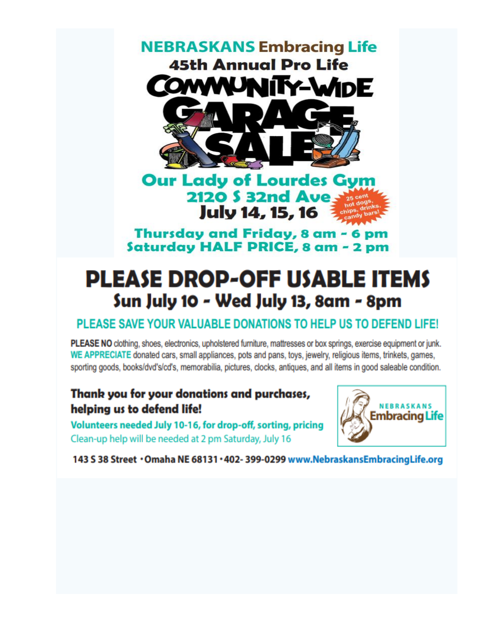

Thursday and Friday, 8 am - 6 pm Saturday HALF PRICE, 8 am - 2 pm

# **PLEASE DROP-OFF USABLE ITEMS** Sun July 10 - Wed July 13, 8am - 8pm

## PLEASE SAVE YOUR VALUABLE DONATIONS TO HELP US TO DEFEND LIFE!

PLEASE NO clothing, shoes, electronics, upholstered furniture, mattresses or box springs, exercise equipment or junk. WE APPRECIATE donated cars, small appliances, pots and pans, toys, jewelry, religious items, trinkets, games, sporting goods, books/dvd's/cd's, memorabilia, pictures, clocks, antiques, and all items in good saleable condition.

## Thank you for your donations and purchases, helping us to defend life!

Volunteers needed July 10-16, for drop-off, sorting, pricing Clean-up help will be needed at 2 pm Saturday, July 16



143 S 38 Street · Omaha NE 68131 · 402- 399-0299 www.NebraskansEmbracingLife.org